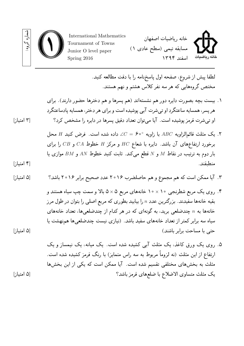

لطفا پيش از شر وع، صفحه اول پاسخنامه را با دقت مطالعه کنيد. مختص گر وههایی که هر سه نفر کلاس هشتم و نهم هستند.

- .۱ بیست بچه بصورت دایره دور هم نشستهاند (هم پسرها و هم دخترها حضور دارند). برای هر پسر، همسایه ساعتگرد او تیشرت آبی پوشیده است و برای هر دختر، همسایه پادساعتگرد او تیشرت قرمز پوشیده است. آیا میتوان تعداد دقیق پسرها در دایره را مشخص کرد؟ [۳ امتیاز]
- .۲ یک مثلث قائمالزاویه *ABC* با زاویه *◦*۶۰ = *C* ∠داده شده است. فرض کنید *H* محل برخورد ارتفاعهای آن باشد. دایره با شعاع *HC* و مرکز *H* خطوط *CA* و *CB* را برای بار دوم به ترتیب در نقاط *M* و *N* قطع میکند. ثابت کنید خطوط *AN* و *BM* موازی یا منطبقند. [۴ امتیاز]

.۳ آیا ممکن است که هم مجموع و هم حاصلضرب ۲۰۱۶ عدد صحیح برابر ۲۰۱۶ باشد؟ [۵ امتیاز]

- .۴ ر وی یک مربع شطرنجی ۱۰ *×* ۱۰ خانههای مربع ۵ *×* ۵ بالا و سمت چپ سیاه هستند و بقیه خانهها سفیدند. بزرگترین عدد *n* را بیابید بطوری که مربع اصلی را بتوان در طول مر ز خانهها به *n* چندضلعی برید، به گونهای که در هر کدام از چندضلعیها، تعداد خانههای سیاه سه برابر کمتر از تعداد خانههای سفید باشد. (نیازی نیست چندضلعیها همنهشت یا حتی با مساحت برابر باشند) [۵ امتیاز]
- .۵ ر وی یک ور ق کاغذ، یک مثلث آبی کشیده شده است. یک میانه، یک نیمساز و یک ارتفاع از این مثلث (نه لزوماً مربوط به سه راس متمایز) با رنگ قرمز کشیده شده است. مثلث به بخشهای مختلفی تقسیم شده است. آیا ممکن است که یکی از این بخشها یک مثلث متساوی الاضلاع با ضلعهای قرمز باشد؟ [۵ امتیاز]

شماره

گر وه: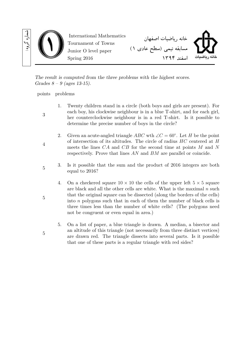

*The result is computed from the three problems with the highest scores. Grades 8 – 9 (ages 13-15).*

points problems

3

4

5

5

- 1. Twenty children stand in a circle (both boys and girls are present). For each boy, his clockwise neighbour is in a blue T-shirt, and for each girl, her counterclockwise neighbour is in a red T-shirt. Is it possible to determine the precise number of boys in the circle?
	- 2. Given an acute-angled triangle  $ABC$  wth  $\angle C = 60^\circ$ . Let *H* be the point of intersection of its altitudes. The circle of radius *HC* centered at *H* meets the lines *CA* and *CB* for the second time at points *M* and *N* respectively. Prove that lines *AN* and *BM* are parallel or coincide.
- 3. Is it possible that the sum and the product of 2016 integers are both equal to 2016?
	- 4. On a checkered square  $10 \times 10$  the cells of the upper left  $5 \times 5$  square are black and all the other cells are white. What is the maximal *n* such that the original square can be dissected (along the borders of the cells) into *n* polygons such that in each of them the number of black cells is three times less than the number of white cells? (The polygons need not be congruent or even equal in area.)
	- 5. On a list of paper, a blue triangle is drawn. A median, a bisector and an altitude of this triangle (not necessarily from three distinct vertices) are drawn red. The triangle dissects into several parts. Is it possible that one of these parts is a regular triangle with red sides?

5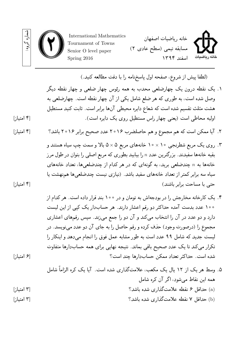

(لطفا پيش از شر وع، صفحه اول پاسخنامه را با دقت مطالعه کنيد.)

- ۱. یک نقطه درون یک چهارضلعی محدب به همه رئوس چهار ضلعی و چهار نقطه دیگر وصل شده است، به طوری که هر ضلع شامل یکی از آن چهار نقطه است. چهارضلعی به هشت مثلث تقسیم شده است که شعاع دایره محیطی آنها برابر است. ثابت کنید مستطیل اولیه محاطی است (یعنی چهار راس مستطیل ر وی یک دایره است). [۴ امتیاز]
- .۲ آیا ممکن است که هم مجموع و هم حاصلضرب ۲۰۱۶ عدد صحیح برابر ۲۰۱۶ باشد؟ [۴ امتیاز]
- .۳ ر وی یک مربع شطرنجی ۱۰ *×* ۱۰ خانههای مربع ۵ *×* ۵ بالا و سمت چپ سیاه هستند و بقیه خانهها سفیدند. بزرگترین عدد *n* را بیابید بطوری که مربع اصلی را بتوان در طول مر ز خانهها به *n* چندضلعی برید، به گونهای که در هر کدام از چندضلعیها، تعداد خانههای سیاه سه برابر کمتر از تعداد خانههای سفید باشد. (نیازی نیست چندضلعیها همنهشت یا حتی با مساحت برابر باشند) [۴ امتیاز]
- .۴ یک کارخانه مخارجش را در بودجهاش به تومان و در ۱۰۰ بند قرار داده است. هر کدام از ۱۰۰ عدد بدست آمده حداکثر دو رقم اعشار دارند. هر حسابدار یک کپی از این لیست دارد و دو عدد در آن را انتخاب میکند و آن دو را جمع میزند. سپس رقمهای اعشاری مجموع را (درصورت وجود) حذف کرده و رقم حاصل را به جای آن دو عدد مینویسد. در لیست جدید که شامل ۹۹ عدد است به طور مشابه عمل فوق را انجام میدهد و اینکار را تکرار میکند تا یک عدد صحیح باقی بماند. نتیجه نهایی برای همه حسابدارها متفاوت شده است. حداکثر تعداد ممکن حسابدارها چند است؟ [۶ امتیاز]
- .۵ وسط هر یک از ۱۲ یال یک مکعب، علامتگذاری شده است. آیا یک کره الزاماً شامل همه این نقاط میشود، اگر آن کره شامل (a (حداقل ۶ نقطه علامتگذاری شده باشد؟ [۳ امتیاز] (b (حداقل ۷ نقطه علامتگذاری شده باشد؟ [۳ امتیاز]